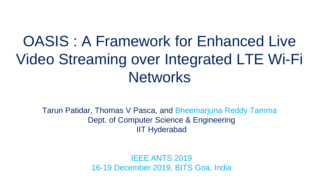# OASIS : A Framework for Enhanced Live Video Streaming over Integrated LTE Wi-Fi **Networks**

Tarun Patidar, Thomas V Pasca, and Bheemarjuna Reddy Tamma Dept. of Computer Science & Engineering IIT Hyderabad

> IEEE ANTS 2019 16-19 December 2019, BITS Goa, India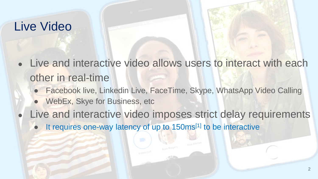#### Live Video

- Live and interactive video allows users to interact with each other in real-time
	- Facebook live, Linkedin Live, FaceTime, Skype, WhatsApp Video Calling
	- WebEx, Skye for Business, etc
	- Live and interactive video imposes strict delay requirements
		- It requires one-way latency of up to 150ms<sup>[1]</sup> to be interactive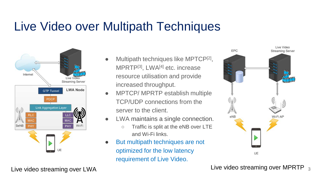# Live Video over Multipath Techniques



- Multipath techniques like MPTCP<sup>[2]</sup>, MPRTP[3], LWA[4] etc. increase resource utilisation and provide increased throughput.
- MPTCP/ MPRTP establish multiple TCP/UDP connections from the server to the client.
- LWA maintains a single connection.
	- Traffic is split at the eNB over LTE and Wi-Fi links.
- But multipath techniques are not optimized for the low latency requirement of Live Video.

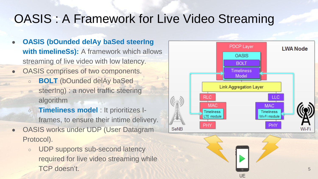### OASIS : A Framework for Live Video Streaming

- **OASIS (bOunded delAy baSed steering with timelineSs):** A framework which allows streaming of live video with low latency.
- OASIS comprises of two components.
	- **BOLT** (bOunded delAy baSed steering) : a novel traffic steering algorithm
	- **Timeliness model** : It prioritizes Iframes, to ensure their intime delivery.
- OASIS works under UDP (User Datagram Protocol).
	- UDP supports sub-second latency required for live video streaming while

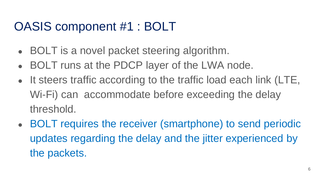# OASIS component #1 : BOLT

- BOLT is a novel packet steering algorithm.
- BOLT runs at the PDCP layer of the LWA node.
- It steers traffic according to the traffic load each link (LTE, Wi-Fi) can accommodate before exceeding the delay threshold.
- BOLT requires the receiver (smartphone) to send periodic updates regarding the delay and the jitter experienced by the packets.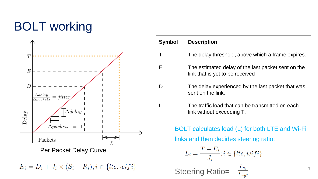# BOLT working



 $E_i = D_i + J_i \times (S_i - R_i); i \in \{lte, wifi\}$ 

| Symbol | <b>Description</b>                                                                    |
|--------|---------------------------------------------------------------------------------------|
|        | The delay threshold, above which a frame expires.                                     |
| F      | The estimated delay of the last packet sent on the<br>link that is yet to be received |
|        | The delay experienced by the last packet that was<br>sent on the link.                |
|        | The traffic load that can be transmitted on each<br>link without exceeding T.         |

BOLT calculates load (L) for both LTE and Wi-Fi

links and then decides steering ratio:

$$
L_i = \frac{T - E_i}{J_i}; i \in \{lte, wifi\}
$$

 $\frac{L_{lte}}{L_{wifi}}$ Steering Ratio=

7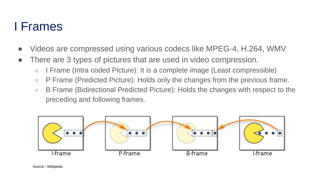#### I Frames

- Videos are compressed using various codecs like MPEG-4, H.264, WMV
- There are 3 types of pictures that are used in video compression.
	- I Frame (Intra coded Picture): It is a complete image (Least compressible)
	- P Frame (Predicted Picture): Holds only the changes from the previous frame.
	- B Frame (Bidirectional Predicted Picture): Holds the changes with respect to the preceding and following frames.

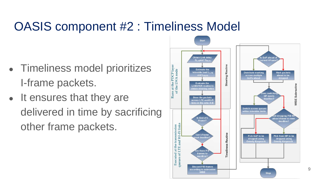### OASIS component #2 : Timeliness Model

- Timeliness model prioritizes I-frame packets.
- It ensures that they are delivered in time by sacrificing other frame packets.



9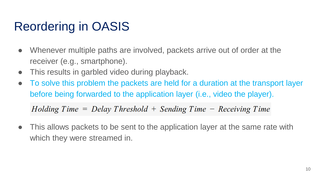# Reordering in OASIS

- Whenever multiple paths are involved, packets arrive out of order at the receiver (e.g., smartphone).
- This results in garbled video during playback.
- To solve this problem the packets are held for a duration at the transport layer before being forwarded to the application layer (i.e., video the player).

 $Holding Time = Delay Threshold + Sending Time - Receiving Time$ 

• This allows packets to be sent to the application layer at the same rate with which they were streamed in.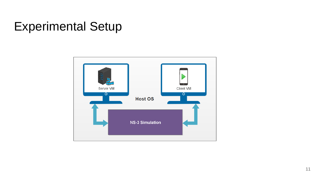# Experimental Setup

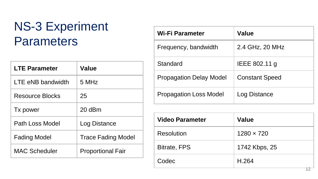# NS-3 Experiment **Parameters**

| <b>LTE Parameter</b>   | <b>Value</b>              |  |
|------------------------|---------------------------|--|
| LTE eNB bandwidth      | 5 MHz                     |  |
| <b>Resource Blocks</b> | 25                        |  |
| Tx power               | $20$ dBm                  |  |
| Path Loss Model        | Log Distance              |  |
| <b>Fading Model</b>    | <b>Trace Fading Model</b> |  |
| <b>MAC Scheduler</b>   | <b>Proportional Fair</b>  |  |

| Wi-Fi Parameter                | <b>Value</b>          |  |
|--------------------------------|-----------------------|--|
| Frequency, bandwidth           | 2.4 GHz, 20 MHz       |  |
| Standard                       | IEEE 802.11 g         |  |
| <b>Propagation Delay Model</b> | <b>Constant Speed</b> |  |
| <b>Propagation Loss Model</b>  | Log Distance          |  |

| <b>Video Parameter</b> | <b>Value</b>      |  |
|------------------------|-------------------|--|
| Resolution             | $1280 \times 720$ |  |
| <b>Bitrate, FPS</b>    | 1742 Kbps, 25     |  |
| Codec                  | H.264<br>ਤ ਜ      |  |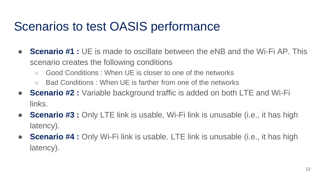# Scenarios to test OASIS performance

- **Scenario #1** : UE is made to oscillate between the eNB and the Wi-Fi AP. This scenario creates the following conditions
	- Good Conditions : When UE is closer to one of the networks
	- Bad Conditions : When UE is farther from one of the networks
- **Scenario #2 :** Variable background traffic is added on both LTE and Wi-Fi links.
- **Scenario #3** : Only LTE link is usable, Wi-Fi link is unusable (i.e., it has high latency).
- **Scenario #4** : Only Wi-Fi link is usable. LTE link is unusable (i.e., it has high latency).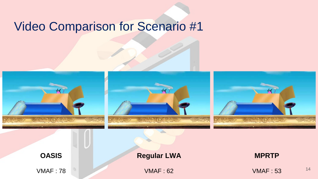#### Video Comparison for Scenario #1

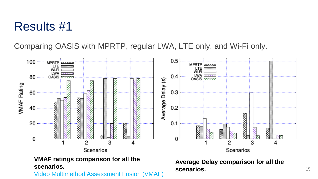#### Results #1

Comparing OASIS with MPRTP, regular LWA, LTE only, and Wi-Fi only.



Video Multimethod Assessment Fusion (VMAF)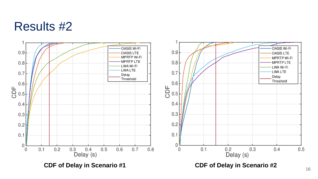#### Results #2

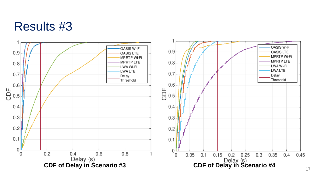#### Results #3

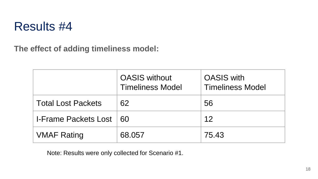

**The effect of adding timeliness model:**

|                             | <b>OASIS without</b><br><b>Timeliness Model</b> | <b>OASIS</b> with<br><b>Timeliness Model</b> |
|-----------------------------|-------------------------------------------------|----------------------------------------------|
| <b>Total Lost Packets</b>   | 62                                              | 56                                           |
| <b>I-Frame Packets Lost</b> | -60                                             | 12                                           |
| <b>VMAF Rating</b>          | 68.057                                          | 75.43                                        |

Note: Results were only collected for Scenario #1.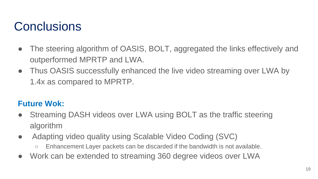#### **Conclusions**

- The steering algorithm of OASIS, BOLT, aggregated the links effectively and outperformed MPRTP and LWA.
- Thus OASIS successfully enhanced the live video streaming over LWA by 1.4x as compared to MPRTP.

#### **Future Wok:**

- Streaming DASH videos over LWA using BOLT as the traffic steering algorithm
- Adapting video quality using Scalable Video Coding (SVC)
	- Enhancement Layer packets can be discarded if the bandwidth is not available.
- Work can be extended to streaming 360 degree videos over LWA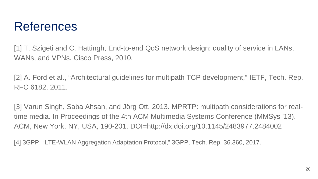#### References

[1] T. Szigeti and C. Hattingh, End-to-end QoS network design: quality of service in LANs, WANs, and VPNs. Cisco Press, 2010.

[2] A. Ford et al., "Architectural guidelines for multipath TCP development," IETF, Tech. Rep. RFC 6182, 2011.

[3] Varun Singh, Saba Ahsan, and Jörg Ott. 2013. MPRTP: multipath considerations for realtime media. In Proceedings of the 4th ACM Multimedia Systems Conference (MMSys '13). ACM, New York, NY, USA, 190-201. DOI=http://dx.doi.org/10.1145/2483977.2484002

[4] 3GPP, "LTE-WLAN Aggregation Adaptation Protocol," 3GPP, Tech. Rep. 36.360, 2017.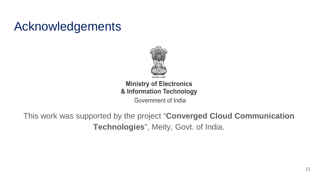### Acknowledgements



#### **Ministry of Electronics** & Information Technology

Government of India

This work was supported by the project "**Converged Cloud Communication Technologies**", Meity, Govt. of India.